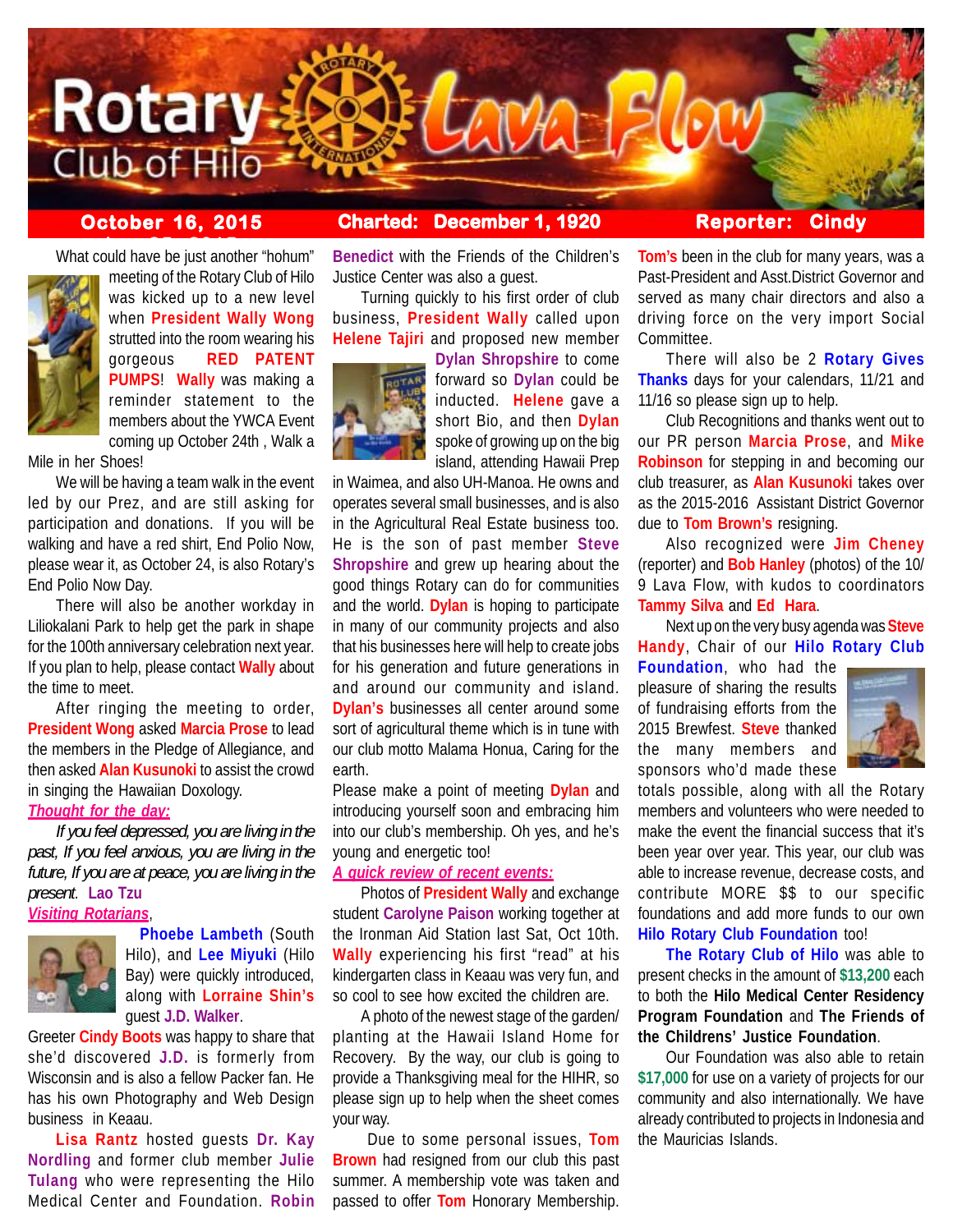

# **October 16, 2015 Charted: December 1, 1920 Reporter: Cindy**

What could have be just another "hohum"



meeting of the Rotary Club of Hilo was kicked up to a new level when **President Wally Wong** strutted into the room wearing his gorgeous **RED PATENT PUMPS**! **Wally** was making a reminder statement to the members about the YWCA Event coming up October 24th , Walk a

Mile in her Shoes!

We will be having a team walk in the event led by our Prez, and are still asking for participation and donations. If you will be walking and have a red shirt, End Polio Now, please wear it, as October 24, is also Rotary's End Polio Now Day.

There will also be another workday in Liliokalani Park to help get the park in shape for the 100th anniversary celebration next year. If you plan to help, please contact **Wally** about the time to meet.

After ringing the meeting to order, **President Wong** asked **Marcia Prose** to lead the members in the Pledge of Allegiance, and then asked **Alan Kusunoki** to assist the crowd in singing the Hawaiian Doxology.

## *Thought for the day:*

*If you feel depressed, you are living in the past, If you feel anxious, you are living in the future, If you are at peace, you are living in the present*. **Lao Tzu**

## *Visiting Rotarians*,



**Phoebe Lambeth** (South Hilo), and **Lee Miyuki** (Hilo Bay) were quickly introduced, along with **Lorraine Shin's** guest **J.D. Walker**.

Greeter **Cindy Boots** was happy to share that she'd discovered **J.D.** is formerly from Wisconsin and is also a fellow Packer fan. He has his own Photography and Web Design business in Keaau.

**Lisa Rantz** hosted guests **Dr. Kay Nordling** and former club member **Julie Tulang** who were representing the Hilo Medical Center and Foundation. **Robin**

**Benedict** with the Friends of the Children's Justice Center was also a guest.

Turning quickly to his first order of club business, **President Wally** called upon **Helene Tajiri** and proposed new member



**Dylan Shropshire** to come forward so **Dylan** could be inducted. **Helene** gave a short Bio, and then **Dylan** spoke of growing up on the big island, attending Hawaii Prep

in Waimea, and also UH-Manoa. He owns and operates several small businesses, and is also in the Agricultural Real Estate business too. He is the son of past member **Steve Shropshire** and grew up hearing about the good things Rotary can do for communities and the world. **Dylan** is hoping to participate in many of our community projects and also that his businesses here will help to create jobs for his generation and future generations in and around our community and island. **Dylan's** businesses all center around some sort of agricultural theme which is in tune with our club motto Malama Honua, Caring for the earth.

Please make a point of meeting **Dylan** and introducing yourself soon and embracing him into our club's membership. Oh yes, and he's young and energetic too!

## *A quick review of recent events:*

Photos of **President Wally** and exchange student **Carolyne Paison** working together at the Ironman Aid Station last Sat, Oct 10th. **Wally** experiencing his first "read" at his kindergarten class in Keaau was very fun, and so cool to see how excited the children are.

A photo of the newest stage of the garden/ planting at the Hawaii Island Home for Recovery. By the way, our club is going to provide a Thanksgiving meal for the HIHR, so please sign up to help when the sheet comes your way.

 Due to some personal issues, **Tom Brown** had resigned from our club this past summer. A membership vote was taken and passed to offer **Tom** Honorary Membership.

**Tom's** been in the club for many years, was a Past-President and Asst.District Governor and served as many chair directors and also a driving force on the very import Social Committee.

There will also be 2 **Rotary Gives Thanks** days for your calendars, 11/21 and 11/16 so please sign up to help.

Club Recognitions and thanks went out to our PR person **Marcia Prose**, and **Mike Robinson** for stepping in and becoming our club treasurer, as **Alan Kusunoki** takes over as the 2015-2016 Assistant District Governor due to **Tom Brown's** resigning.

Also recognized were **Jim Cheney** (reporter) and **Bob Hanley** (photos) of the 10/ 9 Lava Flow, with kudos to coordinators **Tammy Silva** and **Ed Hara**.

Next up on the very busy agenda was **Steve Handy**, Chair of our **Hilo Rotary Club**

**Foundation**, who had the pleasure of sharing the results of fundraising efforts from the 2015 Brewfest. **Steve** thanked the many members and sponsors who'd made these



totals possible, along with all the Rotary members and volunteers who were needed to make the event the financial success that it's been year over year. This year, our club was able to increase revenue, decrease costs, and contribute MORE \$\$ to our specific foundations and add more funds to our own **Hilo Rotary Club Foundation** too!

**The Rotary Club of Hilo** was able to present checks in the amount of **\$13,200** each to both the **Hilo Medical Center Residency Program Foundation** and **The Friends of the Childrens' Justice Foundation**.

Our Foundation was also able to retain **\$17,000** for use on a variety of projects for our community and also internationally. We have already contributed to projects in Indonesia and the Mauricias Islands.